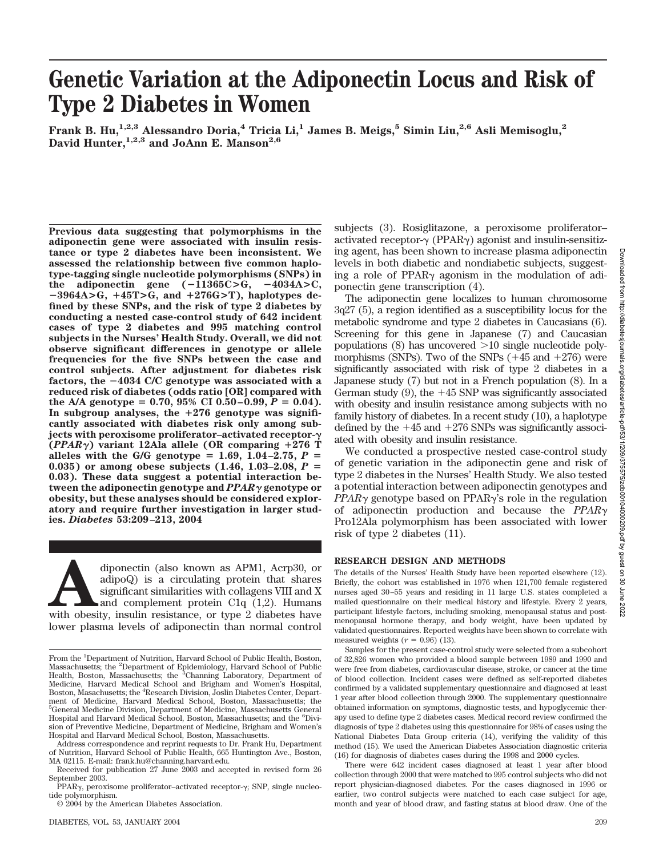# **Genetic Variation at the Adiponectin Locus and Risk of Type 2 Diabetes in Women**

**Frank B. Hu,1,2,3 Alessandro Doria,4 Tricia Li,1 James B. Meigs,5 Simin Liu,2,6 Asli Memisoglu,2** David Hunter,<sup>1,2,3</sup> and JoAnn E. Manson<sup>2,6</sup>

**Previous data suggesting that polymorphisms in the adiponectin gene were associated with insulin resistance or type 2 diabetes have been inconsistent. We assessed the relationship between five common haplotype-tagging single nucleotide polymorphisms (SNPs) in the adiponectin gene**  $(-11365C)$ **<b>G**,  $-4034A$ **>C**,  $-3964A > G$ ,  $+45T > G$ , and  $+276G > T$ ), haplotypes de**fined by these SNPs, and the risk of type 2 diabetes by conducting a nested case-control study of 642 incident cases of type 2 diabetes and 995 matching control subjects in the Nurses' Health Study. Overall, we did not observe significant differences in genotype or allele frequencies for the five SNPs between the case and control subjects. After adjustment for diabetes risk factors, the 4034 C/C genotype was associated with a reduced risk of diabetes (odds ratio [OR] compared with** the A/A genotype =  $0.70$ ,  $95\%$  CI  $0.50-0.99$ ,  $P = 0.04$ ). **In subgroup analyses, the** -**276 genotype was significantly associated with diabetes risk only among subjects with peroxisome proliferator–activated receptor- (***PPAR***) variant 12Ala allele (OR comparing** -**276 T** alleles with the G/G genotype = 1.69, 1.04–2.75,  $P =$ **0.035) or among obese subjects (1.46, 1.03–2.08,** *P* **0.03). These data suggest a potential interaction between the adiponectin genotype and** *PPAR* **genotype or obesity, but these analyses should be considered exploratory and require further investigation in larger studies.** *Diabetes* **53:209–213, 2004**

diponectin (also known as APM1, Acrp30, or adipoQ) is a circulating protein that shares significant similarities with collagens VIII and X and complement protein C1q (1,2). Humans with obesity, insulin resistance, or type adipoQ) is a circulating protein that shares significant similarities with collagens VIII and X and complement protein C1q (1,2). Humans lower plasma levels of adiponectin than normal control subjects (3). Rosiglitazone, a peroxisome proliferator– activated receptor- $\gamma$  (PPAR $\gamma$ ) agonist and insulin-sensitizing agent, has been shown to increase plasma adiponectin levels in both diabetic and nondiabetic subjects, suggesting a role of PPAR $\gamma$  agonism in the modulation of adiponectin gene transcription (4).

The adiponectin gene localizes to human chromosome 3q27 (5), a region identified as a susceptibility locus for the metabolic syndrome and type 2 diabetes in Caucasians (6). Screening for this gene in Japanese (7) and Caucasian populations (8) has uncovered  $>10$  single nucleotide polymorphisms (SNPs). Two of the SNPs  $(+45 \text{ and } +276)$  were significantly associated with risk of type 2 diabetes in a Japanese study (7) but not in a French population (8). In a German study  $(9)$ , the  $+45$  SNP was significantly associated with obesity and insulin resistance among subjects with no family history of diabetes. In a recent study (10), a haplotype defined by the  $+45$  and  $+276$  SNPs was significantly associated with obesity and insulin resistance.

We conducted a prospective nested case-control study of genetic variation in the adiponectin gene and risk of type 2 diabetes in the Nurses' Health Study. We also tested a potential interaction between adiponectin genotypes and *PPAR* $\gamma$  genotype based on PPAR $\gamma$ 's role in the regulation of adiponectin production and because the *PPAR* Pro12Ala polymorphism has been associated with lower risk of type 2 diabetes (11).

#### **RESEARCH DESIGN AND METHODS**

The details of the Nurses' Health Study have been reported elsewhere (12). Briefly, the cohort was established in 1976 when 121,700 female registered nurses aged 30–55 years and residing in 11 large U.S. states completed a mailed questionnaire on their medical history and lifestyle. Every 2 years, participant lifestyle factors, including smoking, menopausal status and postmenopausal hormone therapy, and body weight, have been updated by validated questionnaires. Reported weights have been shown to correlate with measured weights  $(r = 0.96)$  (13).

Samples for the present case-control study were selected from a subcohort of 32,826 women who provided a blood sample between 1989 and 1990 and were free from diabetes, cardiovascular disease, stroke, or cancer at the time of blood collection. Incident cases were defined as self-reported diabetes confirmed by a validated supplementary questionnaire and diagnosed at least 1 year after blood collection through 2000. The supplementary questionnaire obtained information on symptoms, diagnostic tests, and hypoglycemic therapy used to define type 2 diabetes cases. Medical record review confirmed the diagnosis of type 2 diabetes using this questionnaire for 98% of cases using the National Diabetes Data Group criteria (14), verifying the validity of this method (15). We used the American Diabetes Association diagnostic criteria (16) for diagnosis of diabetes cases during the 1998 and 2000 cycles.

There were 642 incident cases diagnosed at least 1 year after blood collection through 2000 that were matched to 995 control subjects who did not report physician-diagnosed diabetes. For the cases diagnosed in 1996 or earlier, two control subjects were matched to each case subject for age, month and year of blood draw, and fasting status at blood draw. One of the

From the <sup>1</sup>Department of Nutrition, Harvard School of Public Health, Boston, Massachusetts; the <sup>2</sup>Department of Epidemiology, Harvard School of Public Health, Boston, Massachusetts; the <sup>3</sup>Channing Laboratory, Department of Medicine, Harvard Medical School and Brigham and Women's Hospital, Boston, Masachusetts; the <sup>4</sup> Research Division, Joslin Diabetes Center, Department of Medicine, Harvard Medical School, Boston, Massachusetts; the 5 General Medicine Division, Department of Medicine, Massachusetts General Hospital and Harvard Medical School, Boston, Massachusetts; and the <sup>6</sup>Division of Preventive Medicine, Department of Medicine, Brigham and Women's Hospital and Harvard Medical School, Boston, Massachusetts.

Address correspondence and reprint requests to Dr. Frank Hu, Department of Nutrition, Harvard School of Public Health, 665 Huntington Ave., Boston, MA 02115. E-mail: frank.hu@channing.harvard.edu.

Received for publication 27 June 2003 and accepted in revised form 26 September 2003.

PPAR<sub>Y</sub>, peroxisome proliferator-activated receptor-y; SNP, single nucleotide polymorphism.

<sup>© 2004</sup> by the American Diabetes Association.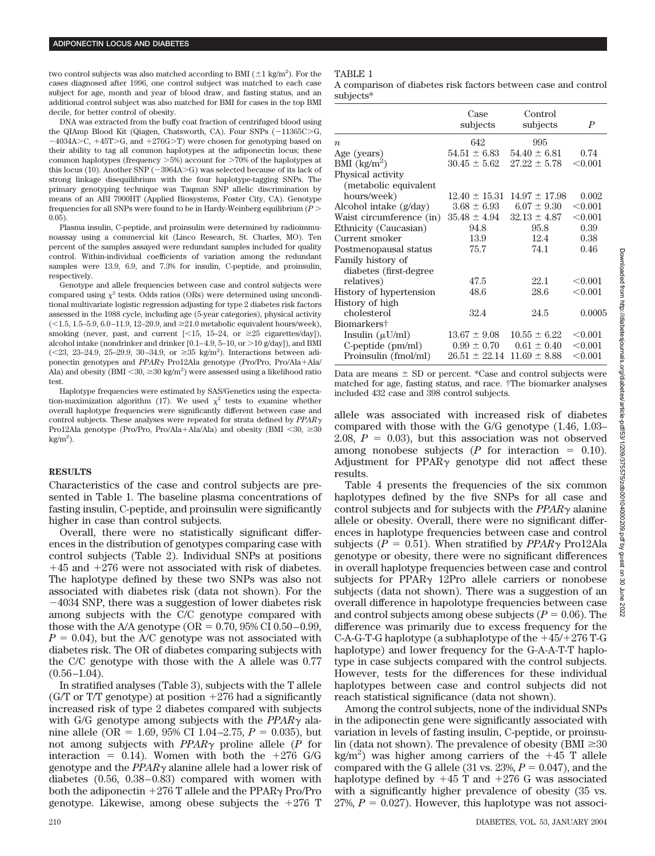two control subjects was also matched according to BMI  $(\pm 1 \text{ kg/m}^2)$ . For the cases diagnosed after 1996, one control subject was matched to each case subject for age, month and year of blood draw, and fasting status, and an additional control subject was also matched for BMI for cases in the top BMI decile, for better control of obesity.

DNA was extracted from the buffy coat fraction of centrifuged blood using the QIAmp Blood Kit (Qiagen, Chatsworth, CA). Four SNPs (-11365C>G,  $-4034A > C$ ,  $+45T > G$ , and  $+276G > T$ ) were chosen for genotyping based on their ability to tag all common haplotypes at the adiponectin locus; these common haplotypes (frequency  $>5\%$ ) account for  $>70\%$  of the haplotypes at this locus (10). Another SNP  $(-3964A > G)$  was selected because of its lack of strong linkage disequilibrium with the four haplotype-tagging SNPs. The primary genotyping technique was Taqman SNP allelic discrimination by means of an ABI 7900HT (Applied Biosystems, Foster City, CA). Genotype frequencies for all SNPs were found to be in Hardy-Weinberg equilibrium (*P* - 0.05).

Plasma insulin, C-peptide, and proinsulin were determined by radioimmunoassay using a commercial kit (Linco Research, St. Charles, MO). Ten percent of the samples assayed were redundant samples included for quality control. Within-individual coefficients of variation among the redundant samples were 13.9, 6.9, and 7.3% for insulin, C-peptide, and proinsulin, respectively.

Genotype and allele frequencies between case and control subjects were compared using  $y^2$  tests. Odds ratios (ORs) were determined using unconditional multivariate logistic regression adjusting for type 2 diabetes risk factors assessed in the 1988 cycle, including age (5-year categories), physical activity  $($ <1.5, 1.5–5.9, 6.0–11.9, 12–20.9, and  $\geq$ 21.0 metabolic equivalent hours/week), smoking (never, past, and current  $\lfloor \leq 15, 15-24, \text{ or } \geq 25 \text{ eigenttes/day} \rfloor$ ), alcohol intake (nondrinker and drinker  $[0.1-4.9, 5-10, 0r > 10 g/day]$ ), and BMI  $(<23, 23-24.9, 25-29.9, 30-34.9, or \geq 35 \text{ kg/m}^2$ ). Interactions between adiponectin genotypes and *PPAR*  $\gamma$  Pro12Ala genotype (Pro/Pro, Pro/Ala+Ala/ Ala) and obesity (BMI  $\leq 30$ ,  $\geq 30$  kg/m<sup>2</sup>) were assessed using a likelihood ratio test.

Haplotype frequencies were estimated by SAS/Genetics using the expectation-maximization algorithm (17). We used  $\chi^2$  tests to examine whether overall haplotype frequencies were significantly different between case and control subjects. These analyses were repeated for strata defined by *PPAR* Pro12Ala genotype (Pro/Pro, Pro/Ala+Ala/Ala) and obesity (BMI <30,  $\geq$ 30  $kg/m<sup>2</sup>$ ).

#### **RESULTS**

Characteristics of the case and control subjects are presented in Table 1. The baseline plasma concentrations of fasting insulin, C-peptide, and proinsulin were significantly higher in case than control subjects.

Overall, there were no statistically significant differences in the distribution of genotypes comparing case with control subjects (Table 2). Individual SNPs at positions  $+45$  and  $+276$  were not associated with risk of diabetes. The haplotype defined by these two SNPs was also not associated with diabetes risk (data not shown). For the  $-4034$  SNP, there was a suggestion of lower diabetes risk among subjects with the C/C genotype compared with those with the A/A genotype ( $OR = 0.70$ , 95% CI 0.50–0.99,  $P = 0.04$ , but the A/C genotype was not associated with diabetes risk. The OR of diabetes comparing subjects with the C/C genotype with those with the A allele was 0.77  $(0.56 - 1.04)$ .

In stratified analyses (Table 3), subjects with the T allele (G/T or T/T genotype) at position  $+276$  had a significantly increased risk of type 2 diabetes compared with subjects with G/G genotype among subjects with the  $PPAR<sub>Y</sub>$  alanine allele (OR = 1.69, 95% CI 1.04–2.75,  $P = 0.035$ ), but not among subjects with  $PPAR\gamma$  proline allele (*P* for interaction = 0.14). Women with both the  $+276$  G/G genotype and the  $PPAR\gamma$  alanine allele had a lower risk of diabetes (0.56, 0.38–0.83) compared with women with both the adiponectin  $+276$  T allele and the PPAR $\gamma$  Pro/Pro genotype. Likewise, among obese subjects the  $+276$  T

## TABLE 1

A comparison of diabetes risk factors between case and control subjects\*

|                          | Case              | Control           |                  |
|--------------------------|-------------------|-------------------|------------------|
|                          | subjects          | subjects          | $\boldsymbol{P}$ |
| $\boldsymbol{n}$         | 642               | 995               |                  |
| Age (years)              | $54.51 \pm 6.83$  | $54.40 \pm 6.81$  | 0.74             |
| BMI $(kg/m^2)$           | $30.45 \pm 5.62$  | $27.22 \pm 5.78$  | < 0.001          |
| Physical activity        |                   |                   |                  |
| (metabolic equivalent    |                   |                   |                  |
| hours/week)              | $12.40 \pm 15.31$ | $14.97 \pm 17.98$ | 0.002            |
| Alcohol intake $(g/day)$ | $3.68 \pm 6.93$   | $6.07 \pm 9.30$   | $< \!\! 0.001$   |
| Waist circumference (in) | $35.48 \pm 4.94$  | $32.13 \pm 4.87$  | $< \!\! 0.001$   |
| Ethnicity (Caucasian)    | 94.8              | 95.8              | 0.39             |
| Current smoker           | 13.9              | 12.4              | 0.38             |
| Postmenopausal status    | 75.7              | 74.1              | 0.46             |
| Family history of        |                   |                   |                  |
| diabetes (first-degree)  |                   |                   |                  |
| relatives)               | 47.5              | 22.1              | < 0.001          |
| History of hypertension  | 48.6              | 28.6              | < 0.001          |
| History of high          |                   |                   |                  |
| cholesterol              | 32.4              | 24.5              | 0.0005           |
| Biomarkers†              |                   |                   |                  |
| Insulin $(\mu U/ml)$     | $13.67 \pm 9.08$  | $10.55 \pm 6.22$  | < 0.001          |
| $C$ -peptide $(pm/ml)$   | $0.99 \pm 0.70$   | $0.61 \pm 0.40$   | < 0.001          |
| Proinsulin (fmol/ml)     | $26.51 \pm 22.14$ | $11.69 \pm 8.88$  | $< \!\! 0.001$   |

Data are means  $\pm$  SD or percent. \*Case and control subjects were matched for age, fasting status, and race. †The biomarker analyses included 432 case and 398 control subjects.

allele was associated with increased risk of diabetes compared with those with the G/G genotype (1.46, 1.03– 2.08,  $P = 0.03$ ), but this association was not observed among nonobese subjects  $(P \text{ for interaction } = 0.10)$ . Adjustment for  $PPAR\gamma$  genotype did not affect these results.

Table 4 presents the frequencies of the six common haplotypes defined by the five SNPs for all case and control subjects and for subjects with the *PPAR* $\gamma$  alanine allele or obesity. Overall, there were no significant differences in haplotype frequencies between case and control subjects ( $P = 0.51$ ). When stratified by  $PPAR\gamma$  Pro12Ala genotype or obesity, there were no significant differences in overall haplotype frequencies between case and control subjects for PPAR $\gamma$  12Pro allele carriers or nonobese subjects (data not shown). There was a suggestion of an overall difference in hapolotype frequencies between case and control subjects among obese subjects  $(P = 0.06)$ . The difference was primarily due to excess frequency for the C-A-G-T-G haplotype (a subhaplotype of the  $+45/+276$  T-G haplotype) and lower frequency for the G-A-A-T-T haplotype in case subjects compared with the control subjects. However, tests for the differences for these individual haplotypes between case and control subjects did not reach statistical significance (data not shown).

Among the control subjects, none of the individual SNPs in the adiponectin gene were significantly associated with variation in levels of fasting insulin, C-peptide, or proinsulin (data not shown). The prevalence of obesity ( $\text{BMI} \geq 30$ kg/m<sup>2</sup>) was higher among carriers of the  $+45$  T allele compared with the G allele  $(31 \text{ vs. } 23\%, P = 0.047)$ , and the haplotype defined by  $+45$  T and  $+276$  G was associated with a significantly higher prevalence of obesity (35 vs.  $27\%, P = 0.027$ . However, this haplotype was not associ-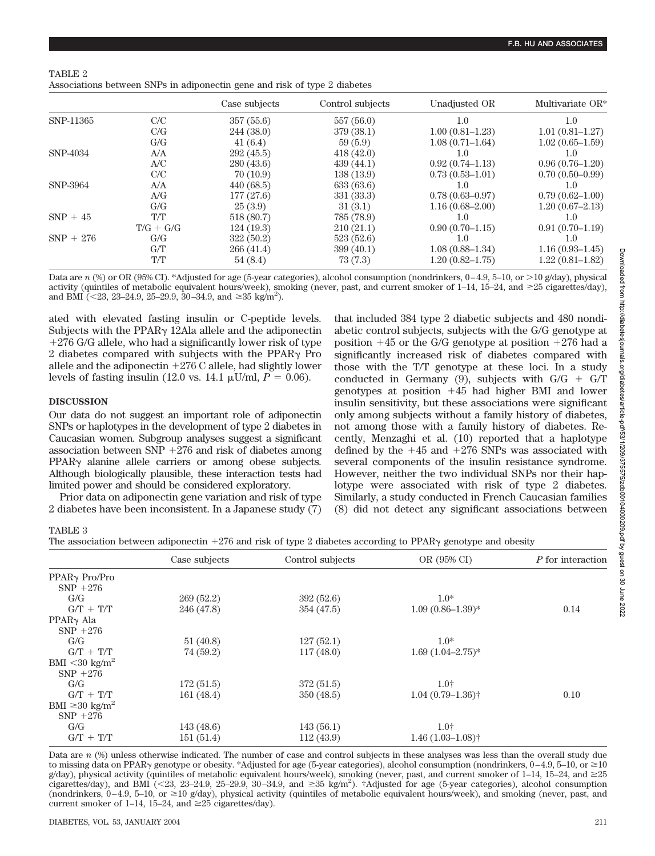| TABLE 2                                                                   |  |  |  |  |
|---------------------------------------------------------------------------|--|--|--|--|
| Associations between SNPs in adiponectin gene and risk of type 2 diabetes |  |  |  |  |

|             |             | Case subjects | Control subjects | Unadjusted OR       | Multivariate OR*    |
|-------------|-------------|---------------|------------------|---------------------|---------------------|
| SNP-11365   | C/C         | 357(55.6)     | 557 (56.0)       | 1.0                 | 1.0                 |
|             | C/G         | 244 (38.0)    | 379 (38.1)       | $1.00(0.81 - 1.23)$ | $1.01(0.81 - 1.27)$ |
|             | G/G         | 41(6.4)       | 59(5.9)          | $1.08(0.71 - 1.64)$ | $1.02(0.65-1.59)$   |
| SNP-4034    | A/A         | 292(45.5)     | 418(42.0)        | 1.0                 | $1.0\,$             |
|             | A/C         | 280(43.6)     | 439(44.1)        | $0.92(0.74 - 1.13)$ | $0.96(0.76-1.20)$   |
|             | C/C         | 70(10.9)      | 138 (13.9)       | $0.73(0.53 - 1.01)$ | $0.70(0.50-0.99)$   |
| SNP-3964    | A/A         | 440(68.5)     | 633(63.6)        | $1.0\,$             | 1.0                 |
|             | A/G         | 177 (27.6)    | 331 (33.3)       | $0.78(0.63 - 0.97)$ | $0.79(0.62 - 1.00)$ |
|             | G/G         | 25(3.9)       | 31(3.1)          | $1.16(0.68 - 2.00)$ | $1.20(0.67-2.13)$   |
| $SNP + 45$  | T/T         | 518 (80.7)    | 785 (78.9)       | $1.0\,$             | 1.0                 |
|             | $T/G + G/G$ | 124(19.3)     | 210(21.1)        | $0.90(0.70-1.15)$   | $0.91(0.70-1.19)$   |
| $SNP + 276$ | G/G         | 322(50.2)     | 523(52.6)        | $1.0\,$             | $1.0\,$             |
|             | G/T         | 266(41.4)     | 399(40.1)        | $1.08(0.88 - 1.34)$ | $1.16(0.93-1.45)$   |
|             | T/T         | 54(8.4)       | 73(7.3)          | $1.20(0.82 - 1.75)$ | $1.22(0.81 - 1.82)$ |

Data are *n* (%) or OR (95% CI). \*Adjusted for age (5-year categories), alcohol consumption (nondrinkers, 0–4.9, 5–10, or -10 g/day), physical activity (quintiles of metabolic equivalent hours/week), smoking (never, past, and current smoker of 1–14, 15–24, and ≥25 cigarettes/day), and BMI (<23, 23-24.9, 25-29.9, 30-34.9, and  $\geq 35$  kg/m<sup>2</sup>).

ated with elevated fasting insulin or C-peptide levels. Subjects with the PPAR $\gamma$  12Ala allele and the adiponectin 276 G/G allele, who had a significantly lower risk of type 2 diabetes compared with subjects with the PPAR $\gamma$  Pro allele and the adiponectin  $+276$  C allele, had slightly lower levels of fasting insulin (12.0 vs. 14.1  $\mu$ U/ml,  $P = 0.06$ ).

## **DISCUSSION**

Our data do not suggest an important role of adiponectin SNPs or haplotypes in the development of type 2 diabetes in Caucasian women. Subgroup analyses suggest a significant association between  $SNP + 276$  and risk of diabetes among  $PPAR<sub>Y</sub>$  alanine allele carriers or among obese subjects. Although biologically plausible, these interaction tests had limited power and should be considered exploratory.

Prior data on adiponectin gene variation and risk of type 2 diabetes have been inconsistent. In a Japanese study (7)

that included 384 type 2 diabetic subjects and 480 nondiabetic control subjects, subjects with the G/G genotype at position  $+45$  or the G/G genotype at position  $+276$  had a significantly increased risk of diabetes compared with those with the T/T genotype at these loci. In a study conducted in Germany (9), subjects with  $G/G + GT$ genotypes at position  $+45$  had higher BMI and lower insulin sensitivity, but these associations were significant only among subjects without a family history of diabetes, not among those with a family history of diabetes. Recently, Menzaghi et al. (10) reported that a haplotype defined by the  $+45$  and  $+276$  SNPs was associated with several components of the insulin resistance syndrome. However, neither the two individual SNPs nor their haplotype were associated with risk of type 2 diabetes. Similarly, a study conducted in French Caucasian families (8) did not detect any significant associations between

# TABLE 3

The association between adiponectin  $+276$  and risk of type 2 diabetes according to PPAR $\gamma$  genotype and obesity

|                              | Case subjects | Control subjects | OR (95% CI)                      | P for interaction |
|------------------------------|---------------|------------------|----------------------------------|-------------------|
| PPAR <sub>Y</sub> Pro/Pro    |               |                  |                                  |                   |
| $SNP + 276$                  |               |                  |                                  |                   |
| G/G                          | 269(52.2)     | 392(52.6)        | $1.0*$                           |                   |
| $G/T + T/T$                  | 246 (47.8)    | 354 (47.5)       | $1.09(0.86 - 1.39)^*$            | 0.14              |
| PPAR <sub>Y</sub> Ala        |               |                  |                                  |                   |
| $SNP + 276$                  |               |                  |                                  |                   |
| G/G                          | 51(40.8)      | 127(52.1)        | $1.0*$                           |                   |
| $G/T + T/T$                  | 74 (59.2)     | 117(48.0)        | $1.69(1.04 - 2.75)*$             |                   |
| BMI $<$ 30 kg/m <sup>2</sup> |               |                  |                                  |                   |
| $SNP + 276$                  |               |                  |                                  |                   |
| G/G                          | 172(51.5)     | 372 (51.5)       | 1.0 <sub>†</sub>                 |                   |
| $G/T + T/T$                  | 161(48.4)     | 350(48.5)        | $1.04(0.79-1.36)$ <sup>†</sup>   | 0.10              |
| BMI $\geq 30 \text{ kg/m}^2$ |               |                  |                                  |                   |
| $SNP + 276$                  |               |                  |                                  |                   |
| G/G                          | 143(48.6)     | 143(56.1)        | 1.0 <sub>†</sub>                 |                   |
| $G/T + T/T$                  | 151(51.4)     | 112(43.9)        | $1.46(1.03 - 1.08)$ <sup>†</sup> |                   |

Data are *n* (%) unless otherwise indicated. The number of case and control subjects in these analyses was less than the overall study due to missing data on PPARy genotype or obesity. \*Adjusted for age (5-year categories), alcohol consumption (nondrinkers,  $0-4.9,$   $5-10,$  or  $\geq$   $10$ g/day), physical activity (quintiles of metabolic equivalent hours/week), smoking (never, past, and current smoker of 1–14, 15–24, and  $\geq$ 25 cigarettes/day), and BMI (<23, 23-24.9, 25-29.9, 30-34.9, and  $\geq$ 35 kg/m<sup>2</sup>). †Adjusted for age (5-year categories), alcohol consumption (nondrinkers,  $0-4.9$ ,  $5-10$ , or  $\geq 10$  g/day), physical activity (quintiles of metabolic equivalent hours/week), and smoking (never, past, and current smoker of 1–14, 15–24, and  $\geq 25$  cigarettes/day).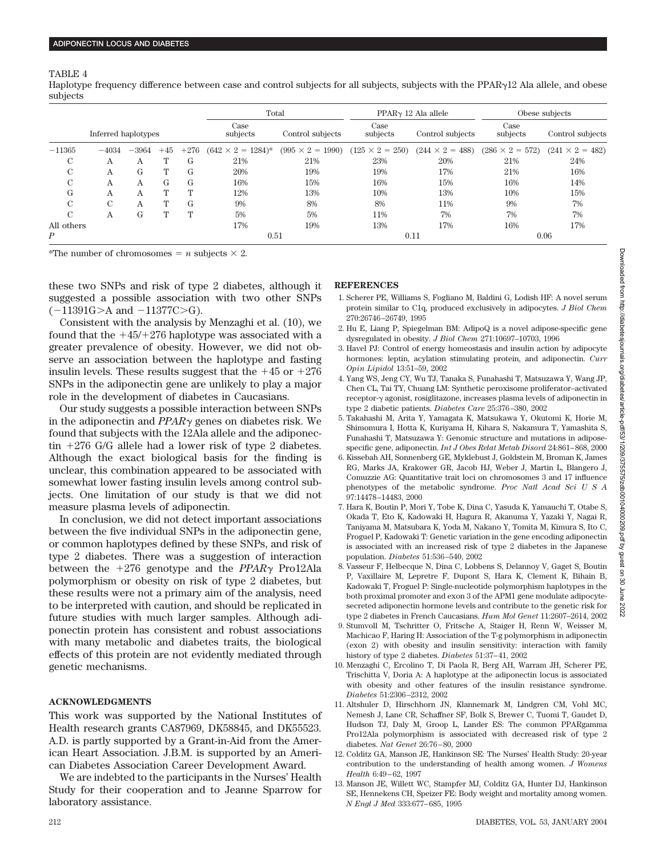#### TABLE 4

Haplotype frequency difference between case and control subjects for all subjects, subjects with the PPAR $\gamma$ 12 Ala allele, and obese subjects

|                     |               |                  |                  |                  | Total                     |                         | $PPARY 12$ Ala allele  |                        | Obese subjects         |                        |
|---------------------|---------------|------------------|------------------|------------------|---------------------------|-------------------------|------------------------|------------------------|------------------------|------------------------|
| Inferred haplotypes |               | Case<br>subjects | Control subjects | Case<br>subjects | Control subjects          | Case<br>subjects        | Control subjects       |                        |                        |                        |
| $-11365$            | $-4034$       | $-3964$          | $+45$            | $+276$           | $(642 \times 2 = 1284)^*$ | $(995 \times 2 = 1990)$ | $(125 \times 2 = 250)$ | $(244 \times 2 = 488)$ | $(286 \times 2 = 572)$ | $(241 \times 2 = 482)$ |
| C                   | Α             | Α                |                  | G                | 21%                       | 21%                     | 23%                    | 20%                    | 21%                    | 24%                    |
| C                   | Α             | G                | $^{\prime}$      | G                | 20%                       | 19%                     | 19%                    | 17%                    | 21%                    | 16%                    |
| С                   | Α             | A                | G                | G                | 16%                       | 15%                     | 16%                    | 15%                    | 16%                    | 14%                    |
| G                   | Α             | Α                | т                | т                | 12%                       | 13%                     | 10%                    | 13%                    | 10%                    | 15%                    |
| С                   | $\mathcal{C}$ | А                | m                | G                | 9%                        | 8%                      | 8%                     | 11%                    | 9%                     | 7%                     |
| C                   | Α             | G                |                  | Т                | 5%                        | 5%                      | 11%                    | 7%                     | 7%                     | 7%                     |
| All others          |               |                  |                  |                  | 17%                       | 19%                     | 13%                    | 17%                    | 16%                    | 17%                    |
| Ρ                   |               |                  |                  |                  | 0.51                      |                         | 0.11                   |                        | 0.06                   |                        |

\*The number of chromosomes  $= n$  subjects  $\times 2$ .

these two SNPs and risk of type 2 diabetes, although it suggested a possible association with two other SNPs  $(-11391G > A$  and  $-11377C > G$ ).

Consistent with the analysis by Menzaghi et al. (10), we found that the  $+45/+276$  haplotype was associated with a greater prevalence of obesity. However, we did not observe an association between the haplotype and fasting insulin levels. These results suggest that the  $+45$  or  $+276$ SNPs in the adiponectin gene are unlikely to play a major role in the development of diabetes in Caucasians.

Our study suggests a possible interaction between SNPs in the adiponectin and *PPAR* genes on diabetes risk. We found that subjects with the 12Ala allele and the adiponectin  $+276$  G/G allele had a lower risk of type 2 diabetes. Although the exact biological basis for the finding is unclear, this combination appeared to be associated with somewhat lower fasting insulin levels among control subjects. One limitation of our study is that we did not measure plasma levels of adiponectin.

In conclusion, we did not detect important associations between the five individual SNPs in the adiponectin gene, or common haplotypes defined by these SNPs, and risk of type 2 diabetes. There was a suggestion of interaction between the  $+276$  genotype and the *PPAR* $\gamma$  Pro12Ala polymorphism or obesity on risk of type 2 diabetes, but these results were not a primary aim of the analysis, need to be interpreted with caution, and should be replicated in future studies with much larger samples. Although adiponectin protein has consistent and robust associations with many metabolic and diabetes traits, the biological effects of this protein are not evidently mediated through genetic mechanisms.

# **ACKNOWLEDGMENTS**

This work was supported by the National Institutes of Health research grants CA87969, DK58845, and DK55523. A.D. is partly supported by a Grant-in-Aid from the American Heart Association. J.B.M. is supported by an American Diabetes Association Career Development Award.

We are indebted to the participants in the Nurses' Health Study for their cooperation and to Jeanne Sparrow for laboratory assistance.

#### **REFERENCES**

- 1. Scherer PE, Williams S, Fogliano M, Baldini G, Lodish HF: A novel serum protein similar to C1q, produced exclusively in adipocytes. *J Biol Chem* 270:26746–26749, 1995
- 2. Hu E, Liang P, Spiegelman BM: AdipoQ is a novel adipose-specific gene dysregulated in obesity. *J Biol Chem* 271:10697–10703, 1996
- 3. Havel PJ: Control of energy homeostasis and insulin action by adipocyte hormones: leptin, acylation stimulating protein, and adiponectin. *Curr Opin Lipidol* 13:51–59, 2002
- 4. Yang WS, Jeng CY, Wu TJ, Tanaka S, Funahashi T, Matsuzawa Y, Wang JP, Chen CL, Tai TY, Chuang LM: Synthetic peroxisome proliferator–activated receptor- $\gamma$  agonist, rosiglitazone, increases plasma levels of adiponectin in type 2 diabetic patients. *Diabetes Care* 25:376–380, 2002
- 5. Takahashi M, Arita Y, Yamagata K, Matsukawa Y, Okutomi K, Horie M, Shimomura I, Hotta K, Kuriyama H, Kihara S, Nakamura T, Yamashita S, Funahashi T, Matsuzawa Y: Genomic structure and mutations in adiposespecific gene, adiponectin. *Int J Obes Relat Metab Disord* 24:861–868, 2000
- 6. Kissebah AH, Sonnenberg GE, Myklebust J, Goldstein M, Broman K, James RG, Marks JA, Krakower GR, Jacob HJ, Weber J, Martin L, Blangero J, Comuzzie AG: Quantitative trait loci on chromosomes 3 and 17 influence phenotypes of the metabolic syndrome. *Proc Natl Acad SciUSA* 97:14478–14483, 2000
- 7. Hara K, Boutin P, Mori Y, Tobe K, Dina C, Yasuda K, Yamauchi T, Otabe S, Okada T, Eto K, Kadowaki H, Hagura R, Akanuma Y, Yazaki Y, Nagai R, Taniyama M, Matsubara K, Yoda M, Nakano Y, Tomita M, Kimura S, Ito C, Froguel P, Kadowaki T: Genetic variation in the gene encoding adiponectin is associated with an increased risk of type 2 diabetes in the Japanese population. *Diabetes* 51:536–540, 2002
- 8. Vasseur F, Helbecque N, Dina C, Lobbens S, Delannoy V, Gaget S, Boutin P, Vaxillaire M, Lepretre F, Dupont S, Hara K, Clement K, Bihain B, Kadowaki T, Froguel P: Single-nucleotide polymorphism haplotypes in the both proximal promoter and exon 3 of the APM1 gene modulate adipocytesecreted adiponectin hormone levels and contribute to the genetic risk for type 2 diabetes in French Caucasians. *Hum Mol Genet* 11:2607–2614, 2002
- 9. Stumvoll M, Tschritter O, Fritsche A, Staiger H, Renn W, Weisser M, Machicao F, Haring H: Association of the T-g polymorphism in adiponectin (exon 2) with obesity and insulin sensitivity: interaction with family history of type 2 diabetes. *Diabetes* 51:37–41, 2002
- 10. Menzaghi C, Ercolino T, Di Paola R, Berg AH, Warram JH, Scherer PE, Trischitta V, Doria A: A haplotype at the adiponectin locus is associated with obesity and other features of the insulin resistance syndrome. *Diabetes* 51:2306–2312, 2002
- 11. Altshuler D, Hirschhorn JN, Klannemark M, Lindgren CM, Vohl MC, Nemesh J, Lane CR, Schaffner SF, Bolk S, Brewer C, Tuomi T, Gaudet D, Hudson TJ, Daly M, Groop L, Lander ES: The common PPARgamma Pro12Ala polymorphism is associated with decreased risk of type 2 diabetes. *Nat Genet* 26:76–80, 2000
- 12. Colditz GA, Manson JE, Hankinson SE: The Nurses' Health Study: 20-year contribution to the understanding of health among women. *J Womens Health* 6:49–62, 1997
- 13. Manson JE, Willett WC, Stampfer MJ, Colditz GA, Hunter DJ, Hankinson SE, Hennekens CH, Speizer FE: Body weight and mortality among women. *N Engl J Med* 333:677–685, 1995